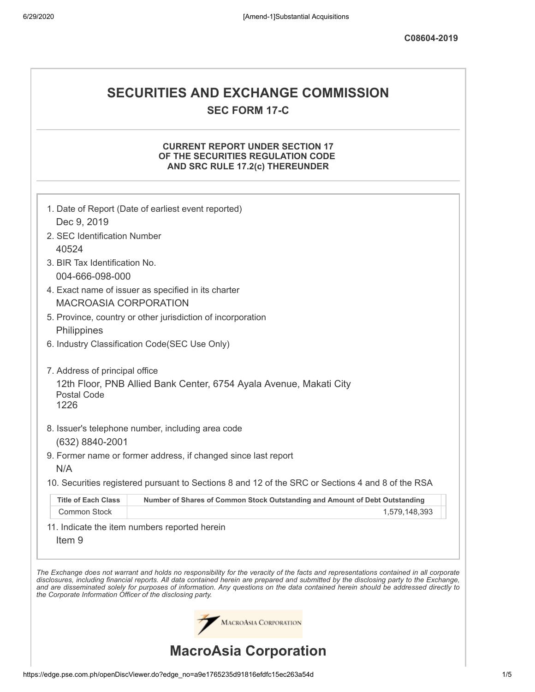# **SECURITIES AND EXCHANGE COMMISSION SEC FORM 17-C**

## **CURRENT REPORT UNDER SECTION 17 OF THE SECURITIES REGULATION CODE AND SRC RULE 17.2(c) THEREUNDER**

|                                                            | MACROASIA CORPORATION<br><b>MacroAsia Corporation</b>                                             |                                                                                                                                                                                                                                                                                                                                                                                                                          |
|------------------------------------------------------------|---------------------------------------------------------------------------------------------------|--------------------------------------------------------------------------------------------------------------------------------------------------------------------------------------------------------------------------------------------------------------------------------------------------------------------------------------------------------------------------------------------------------------------------|
| the Corporate Information Officer of the disclosing party. |                                                                                                   | The Exchange does not warrant and holds no responsibility for the veracity of the facts and representations contained in all corporate<br>disclosures, including financial reports. All data contained herein are prepared and submitted by the disclosing party to the Exchange,<br>and are disseminated solely for purposes of information. Any questions on the data contained herein should be addressed directly to |
| Item <sub>9</sub>                                          | 11. Indicate the item numbers reported herein                                                     |                                                                                                                                                                                                                                                                                                                                                                                                                          |
| Common Stock                                               |                                                                                                   | 1,579,148,393                                                                                                                                                                                                                                                                                                                                                                                                            |
| <b>Title of Each Class</b>                                 | Number of Shares of Common Stock Outstanding and Amount of Debt Outstanding                       |                                                                                                                                                                                                                                                                                                                                                                                                                          |
|                                                            | 10. Securities registered pursuant to Sections 8 and 12 of the SRC or Sections 4 and 8 of the RSA |                                                                                                                                                                                                                                                                                                                                                                                                                          |
| N/A                                                        | 9. Former name or former address, if changed since last report                                    |                                                                                                                                                                                                                                                                                                                                                                                                                          |
| (632) 8840-2001                                            |                                                                                                   |                                                                                                                                                                                                                                                                                                                                                                                                                          |
|                                                            | 8. Issuer's telephone number, including area code                                                 |                                                                                                                                                                                                                                                                                                                                                                                                                          |
| Postal Code<br>1226                                        |                                                                                                   |                                                                                                                                                                                                                                                                                                                                                                                                                          |
| 7. Address of principal office                             | 12th Floor, PNB Allied Bank Center, 6754 Ayala Avenue, Makati City                                |                                                                                                                                                                                                                                                                                                                                                                                                                          |
|                                                            | 6. Industry Classification Code(SEC Use Only)                                                     |                                                                                                                                                                                                                                                                                                                                                                                                                          |
| Philippines                                                |                                                                                                   |                                                                                                                                                                                                                                                                                                                                                                                                                          |
|                                                            | 5. Province, country or other jurisdiction of incorporation                                       |                                                                                                                                                                                                                                                                                                                                                                                                                          |
| <b>MACROASIA CORPORATION</b>                               | 4. Exact name of issuer as specified in its charter                                               |                                                                                                                                                                                                                                                                                                                                                                                                                          |
| 004-666-098-000                                            |                                                                                                   |                                                                                                                                                                                                                                                                                                                                                                                                                          |
| 3. BIR Tax Identification No.                              |                                                                                                   |                                                                                                                                                                                                                                                                                                                                                                                                                          |
| 2. SEC Identification Number<br>40524                      |                                                                                                   |                                                                                                                                                                                                                                                                                                                                                                                                                          |
| Dec 9, 2019                                                |                                                                                                   |                                                                                                                                                                                                                                                                                                                                                                                                                          |
|                                                            | 1. Date of Report (Date of earliest event reported)                                               |                                                                                                                                                                                                                                                                                                                                                                                                                          |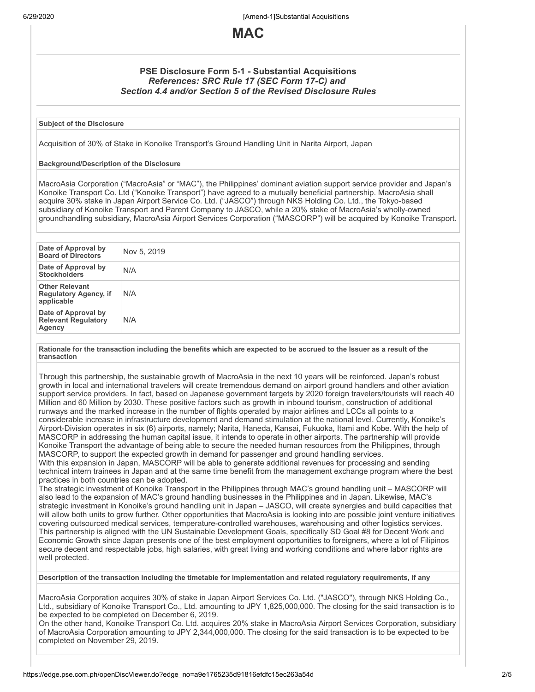6/29/2020 [Amend-1]Substantial Acquisitions



## **PSE Disclosure Form 5-1 - Substantial Acquisitions** *References: SRC Rule 17 (SEC Form 17-C) and Section 4.4 and/or Section 5 of the Revised Disclosure Rules*

#### **Subject of the Disclosure**

Acquisition of 30% of Stake in Konoike Transport's Ground Handling Unit in Narita Airport, Japan

#### **Background/Description of the Disclosure**

MacroAsia Corporation ("MacroAsia" or "MAC"), the Philippines' dominant aviation support service provider and Japan's Konoike Transport Co. Ltd ("Konoike Transport") have agreed to a mutually beneficial partnership. MacroAsia shall acquire 30% stake in Japan Airport Service Co. Ltd. ("JASCO") through NKS Holding Co. Ltd., the Tokyo-based subsidiary of Konoike Transport and Parent Company to JASCO, while a 20% stake of MacroAsia's wholly-owned groundhandling subsidiary, MacroAsia Airport Services Corporation ("MASCORP") will be acquired by Konoike Transport.

| Date of Approval by<br><b>Board of Directors</b>                    | Nov 5, 2019 |
|---------------------------------------------------------------------|-------------|
| Date of Approval by<br><b>Stockholders</b>                          | N/A         |
| <b>Other Relevant</b><br><b>Regulatory Agency, if</b><br>applicable | N/A         |
| Date of Approval by<br><b>Relevant Regulatory</b><br>Agency         | N/A         |

Rationale for the transaction including the benefits which are expected to be accrued to the Issuer as a result of the **transaction**

Through this partnership, the sustainable growth of MacroAsia in the next 10 years will be reinforced. Japan's robust growth in local and international travelers will create tremendous demand on airport ground handlers and other aviation support service providers. In fact, based on Japanese government targets by 2020 foreign travelers/tourists will reach 40 Million and 60 Million by 2030. These positive factors such as growth in inbound tourism, construction of additional runways and the marked increase in the number of flights operated by major airlines and LCCs all points to a considerable increase in infrastructure development and demand stimulation at the national level. Currently, Konoike's Airport-Division operates in six (6) airports, namely; Narita, Haneda, Kansai, Fukuoka, Itami and Kobe. With the help of MASCORP in addressing the human capital issue, it intends to operate in other airports. The partnership will provide Konoike Transport the advantage of being able to secure the needed human resources from the Philippines, through MASCORP, to support the expected growth in demand for passenger and ground handling services.

With this expansion in Japan, MASCORP will be able to generate additional revenues for processing and sending technical intern trainees in Japan and at the same time benefit from the management exchange program where the best practices in both countries can be adopted.

The strategic investment of Konoike Transport in the Philippines through MAC's ground handling unit – MASCORP will also lead to the expansion of MAC's ground handling businesses in the Philippines and in Japan. Likewise, MAC's strategic investment in Konoike's ground handling unit in Japan – JASCO, will create synergies and build capacities that will allow both units to grow further. Other opportunities that MacroAsia is looking into are possible joint venture initiatives covering outsourced medical services, temperature-controlled warehouses, warehousing and other logistics services. This partnership is aligned with the UN Sustainable Development Goals, specifically SD Goal #8 for Decent Work and Economic Growth since Japan presents one of the best employment opportunities to foreigners, where a lot of Filipinos secure decent and respectable jobs, high salaries, with great living and working conditions and where labor rights are well protected.

**Description of the transaction including the timetable for implementation and related regulatory requirements, if any**

MacroAsia Corporation acquires 30% of stake in Japan Airport Services Co. Ltd. ("JASCO"), through NKS Holding Co., Ltd., subsidiary of Konoike Transport Co., Ltd. amounting to JPY 1,825,000,000. The closing for the said transaction is to be expected to be completed on December 6, 2019.

On the other hand, Konoike Transport Co. Ltd. acquires 20% stake in MacroAsia Airport Services Corporation, subsidiary of MacroAsia Corporation amounting to JPY 2,344,000,000. The closing for the said transaction is to be expected to be completed on November 29, 2019.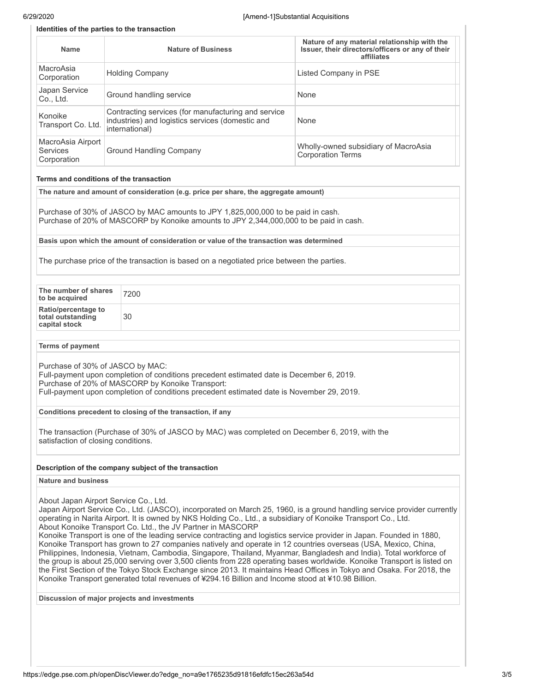#### **Identities of the parties to the transaction**

| <b>Name</b>                                         | <b>Nature of Business</b>                                                                                                         | Nature of any material relationship with the<br>Issuer, their directors/officers or any of their<br>affiliates |
|-----------------------------------------------------|-----------------------------------------------------------------------------------------------------------------------------------|----------------------------------------------------------------------------------------------------------------|
| MacroAsia<br>Corporation                            | <b>Holding Company</b>                                                                                                            | Listed Company in PSE                                                                                          |
| Japan Service<br>Co., Ltd.                          | Ground handling service                                                                                                           | None                                                                                                           |
| Konoike<br>Transport Co. Ltd.                       | Contracting services (for manufacturing and service<br>industries) and logistics services (domestic and<br>None<br>international) |                                                                                                                |
| MacroAsia Airport<br><b>Services</b><br>Corporation | Ground Handling Company                                                                                                           | Wholly-owned subsidiary of MacroAsia<br><b>Corporation Terms</b>                                               |

#### **Terms and conditions of the transaction**

**The nature and amount of consideration (e.g. price per share, the aggregate amount)**

Purchase of 30% of JASCO by MAC amounts to JPY 1,825,000,000 to be paid in cash. Purchase of 20% of MASCORP by Konoike amounts to JPY 2,344,000,000 to be paid in cash.

**Basis upon which the amount of consideration or value of the transaction was determined**

The purchase price of the transaction is based on a negotiated price between the parties.

| The number of shares<br>to be acquired                           | 7200 |
|------------------------------------------------------------------|------|
| <b>Ratio/percentage to</b><br>total outstanding<br>capital stock | 30   |

#### **Terms of payment**

Purchase of 30% of JASCO by MAC: Full-payment upon completion of conditions precedent estimated date is December 6, 2019. Purchase of 20% of MASCORP by Konoike Transport: Full-payment upon completion of conditions precedent estimated date is November 29, 2019.

**Conditions precedent to closing of the transaction, if any**

The transaction (Purchase of 30% of JASCO by MAC) was completed on December 6, 2019, with the satisfaction of closing conditions.

#### **Description of the company subject of the transaction**

#### **Nature and business**

About Japan Airport Service Co., Ltd.

Japan Airport Service Co., Ltd. (JASCO), incorporated on March 25, 1960, is a ground handling service provider currently operating in Narita Airport. It is owned by NKS Holding Co., Ltd., a subsidiary of Konoike Transport Co., Ltd. About Konoike Transport Co. Ltd., the JV Partner in MASCORP

Konoike Transport is one of the leading service contracting and logistics service provider in Japan. Founded in 1880, Konoike Transport has grown to 27 companies natively and operate in 12 countries overseas (USA, Mexico, China, Philippines, Indonesia, Vietnam, Cambodia, Singapore, Thailand, Myanmar, Bangladesh and India). Total workforce of the group is about 25,000 serving over 3,500 clients from 228 operating bases worldwide. Konoike Transport is listed on the First Section of the Tokyo Stock Exchange since 2013. It maintains Head Offices in Tokyo and Osaka. For 2018, the Konoike Transport generated total revenues of ¥294.16 Billion and Income stood at ¥10.98 Billion.

**Discussion of major projects and investments**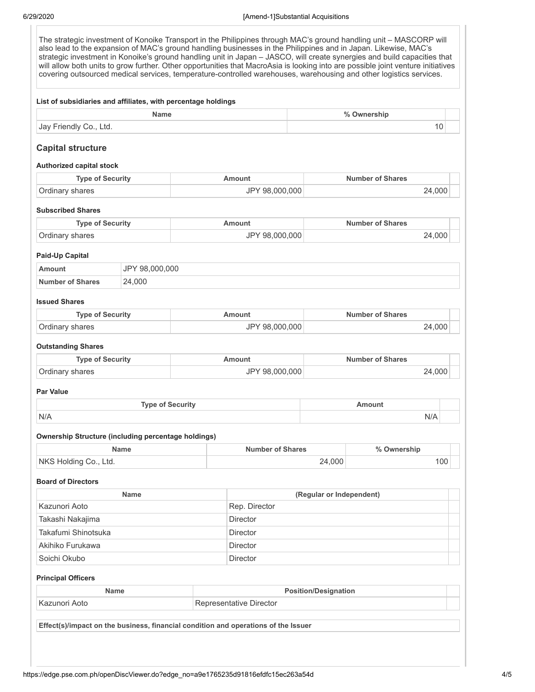The strategic investment of Konoike Transport in the Philippines through MAC's ground handling unit – MASCORP will also lead to the expansion of MAC's ground handling businesses in the Philippines and in Japan. Likewise, MAC's strategic investment in Konoike's ground handling unit in Japan – JASCO, will create synergies and build capacities that will allow both units to grow further. Other opportunities that MacroAsia is looking into are possible joint venture initiatives covering outsourced medical services, temperature-controlled warehouses, warehousing and other logistics services. **List of subsidiaries and affiliates, with percentage holdings Name % Ownership** Jay Friendly Co., Ltd. 10 **Capital structure Authorized capital stock Type of Security Amount Amount Number of Shares** Ordinary shares 24,000 24,000 1 24,000 1 24,000 1 24,000 24,000 24,000 24,000 24,000 24,000 24,000 24,000 24,000 **Subscribed Shares Type of Security Amount Amount Amount Number of Shares** Ordinary shares 24.000 **Paid-Up Capital Amount** JPY 98,000,000 **Number of Shares** 24,000 **Issued Shares Type of Security Amount Number of Shares** Ordinary shares 24,000 24,000 24,000 24,000 24,000 24,000 24,000 24,000 25,000 25,000 25,000 25,000 25,000 25,000 25,000 25,000 25,000 25,000 25,000 25,000 25,000 25,000 25,000 25,000 25,000 25,000 25,000 25,000 25,000 25, **Outstanding Shares Type of Security Amount Amount Amount Number of Shares** Ordinary shares 24,000 **Par Value Type of Security Amount** N/A N/A **Ownership Structure (including percentage holdings) Name Number of Shares % Ownership** NKS Holding Co., Ltd. 24,000 24,000 **Board of Directors Name (Regular or Independent)** Kazunori Aoto **Rep. Director** Rep. Director Takashi Nakajima **Director** Director Takafumi Shinotsuka Director Akihiko Furukawa **Director** Director Soichi Okubo **Director** Director **Principal Officers Name Position/Designation** Kazunori Aoto **Representative Director Effect(s)/impact on the business, financial condition and operations of the Issuer**